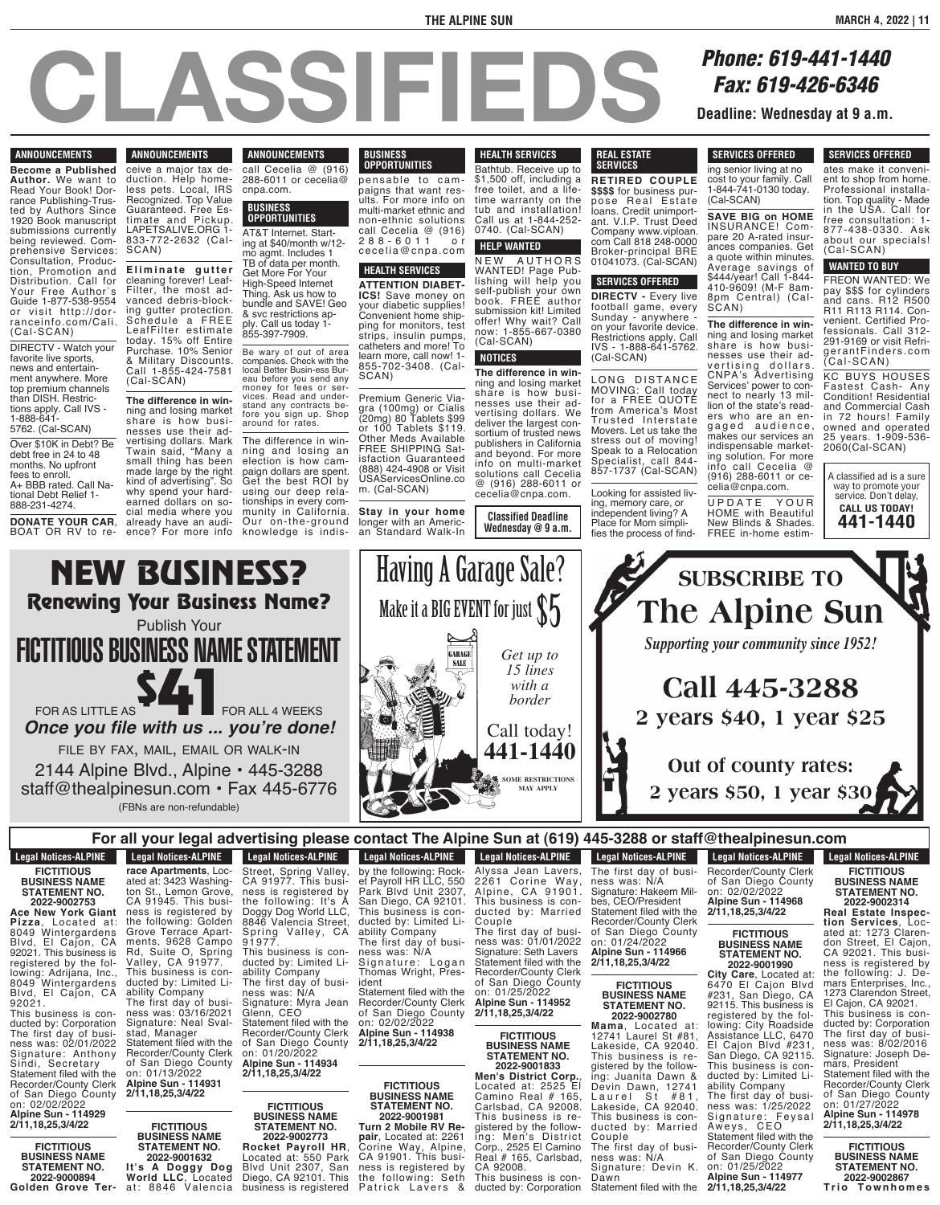#### **CLASSIFIEDS Phone: 619-441-1440**<br>**Fax: 619-426-6346**<br>Deadline: Wednesday at 9 a.m *Fax: 619-426-6346* Deadline: Wednesday at 9 a.m. nesses use their advertising dollars. Mark  $\blacksquare$ small thing has been made large by the right kind of advertising the solution of advertising the solution of advertising of advertising the solution of advertising the solution of advertising the solution of advertising the solution of advertising the solution of adv why spend your hardearned dollars on so-The difference in winning and losing an election is how campaign dollars are spent. Get the best ROI by using our deep rela-**Stay in your home** ing, memory care, or U P D A T E Y O U R D A T E Y O

#### **ANNOUNCEMENTS**

**Become a Published Author.** We want to Read Your Book! Dorrance Publishing-Trusted by Authors Since 1920 Book manuscript submissions currently being reviewed. Comprehensive Services: Consultation, Production, Promotion and Distribution. Call for Your Free Author`s Guide 1-877-538-9554 or visit http://dorranceinfo.com/Cal i. (Cal-SCAN)

DIRECTV - Watch your favorite live sports, news and entertainment anywhere. More top premium channels than DISH. Restrictions apply. Call IVS - 1-888-641- 5762. (Cal-SCAN)

Over \$10K in Debt? Be debt free in 24 to 48 months. No upfront fees to enroll. A+ BBB rated. Call National Debt Relief 1- 888-231-4274.

**DONATE YOUR CAR**, BOAT OR RV to re-

## $\blacksquare$  **ANNOUNCEMENTS** ceive a major tax de-

Purchase. 10% Senior & Military Discounts. Call 1-855-424-7581 (Cal-SCAN)

**The difference in win**ning and losing market

SCAN)

duction. Help homeless pets. Local, IRS Recognized. Top Value Guaranteed. Free Estimate and Pickup. call Cecelia @ (916) 288-6011 or cecelia@ cnpa.com. **BUSINESS OPPORTUNITIES**

LAPETSALIVE.ORG 1- 833-772-2632 (Cal-**E l i m i n a t e g u t t e r** cleaning forever! Leaf-Filter, the most advanced debris-blocking gutter protection. Schedule a FREE LeafFilter estimate today. 15% off Entire AT&T Internet. Starting at \$40/month w/12 mo agmt. Includes 1 TB of data per month. Get More For Your High-Speed Internet Thing. Ask us how to bundle and SAVE! Geo & svc restrictions apply. Call us today 1- 855-397-7909.

**ANNOUNCEMENTS** 

**ENVIROUNCEMENTS** 

**The difference in win-**

Be wary of out of area companies. Check with the local Better Busin-ess Bur-<br>eau before you send any money for fees or ser-<br>vices. Read and under-<br>stand any contracts be-<br>fore you sign up. Shop<br>around for rates.

share is how businesses use their advertising dollars. Mark Twain said, "Many a small thing has been made large by the right kind of advertising". So why spend your hardearned dollars on social media where you already have an audience? For more info The difference in winning and losing an election is how campaign dollars are spent. Get the best ROI by using our deep relationships in every community in California. Our on-the-ground knowledge is indis-

p e n s a b l e t o c a m -

#### **BUSINESS OPPORTUNITIES** munity in California.

be controlled in the set of the set of the set of the set of the set of the set of the set of the set of the set of the set of the set of the set of the set of the set of the set of the set of the set of the set of the set pensable to campaigns that want results. For more info on multi-market ethnic and non-ethnic solutions call Cecelia @ (916) 2 8 8 - 6 0 1 1 o r cecel ia@cnpa. com

## **HEALTH SERVICES**

**ATTENTION DIABET-ICS!** Save money on your diabetic supplies! Convenient home shipping for monitors, test strips, insulin pumps, catheters and more! To learn more, call now! 1- 855-702-3408. (Cal-SCAN)

Premium Generic Viagra (100mg) or Cialis (20mg) 80 Tablets \$99 or 100 Tablets \$119. Other Meds Available FREE SHIPPING Satisfaction Guaranteed (888) 424-4908 or Visit USAServicesOnline.co m. (Cal-SCAN)

**Stay in your home** longer with an American Standard Walk-In

 $\blacksquare$  Having A  $\Gamma$ time dia wa  $\frac{1}{\sqrt{2}}$  $\blacksquare$ Mako ita DIC

**Having A Garage Sale?** 

Make it a BIG EVENT for just  $\$5$ 

**GARAGE** 

#### **HEALTH SERVICES THE SERVICES** Bathtub. Receive up to \$1,500 off, including a free toilet, and a lifetime warranty on the

tub and installation! Call us at 1-844-252- 0740. (Cal-SCAN) **HELP WANTED**

N E W A U T H O R S WANTED! Page Publishing will help you self-publish your own book. FREE author submission kit! Limited offer! Why wait? Call now: 1-855-667-0380 (Cal-SCAN) **NOTICES**

**The difference in win**ning and losing market share is how businesses use their advertising dollars. We deliver the largest consortium of trusted news publishers in California and beyond. For more info on multi-market solutions call Cecelia @ (916) 288-6011 or

**Classified Deadline Wednesday @ 9 a.m.** cecelia@cnpa.com.

> *Get up to 15 lines with a border*

Call today! **441-1440 FICTITIOUS BUSINES** SOME RESTRICTIONS **2022**<br> **2022-01-2022-01-2023**<br> **2022-01-2023** 

**SOME RESTRICTION Turn 2 Mobile RV Re-**

#### **REAL ESTATE SERVICES**

**RETIRED COUPLE \$\$\$\$** for business purpose Real Estate loans. Credit unimportant. V.I.P. Trust Deed Company www.viploan. com Call 818 248-0000 Broker-principal BRE 01041073. (Cal-SCAN)

# **SERVICES OFFERED**

**DIRECTV -** Every live football game, every Sunday - anywhere on your favorite device. Restrictions apply. Call IVS - 1-888-641-5762. (Cal-SCAN)

LONG DISTANCE MOVING: Call today for a FREE QUOTE from America's Most Trusted Interstate Movers. Let us take the stress out of moving! Speak to a Relocation Specialist, call 844- 857-1737 (Cal-SCAN)

Looking for assisted living, memory care, or independent living? A Place for Mom simplifies the process of find-

 $\alpha$  is  $\alpha$ 1-844-741-0130 today.

**BUSINES STATEMENT NO. 2022-9001833 Men's District Corp.**,

 $\blacksquare$  2 vea  $\mathbf{u} = \mathbf{v}$ 

(Cal-SCAN)

#### **SERVICES OFFERED** SENVICES UFFERED

ing senior living at no cost to your family. Call 1-844-741-0130 today. (Cal-SCAN)

**SAVE BIG on HOME** INSURANCE! Compare 20 A-rated insurances companies. Get a quote within minutes. Average savings of \$444/year! Call 1-844- 410-9609! (M-F 8am-8pm Central) (Cal-SCAN)

**The difference in win**ning and losing market share is how businesses use their advertising dollars. CNPA's Advertising Services' power to connect to nearly 13 million of the state's readers who are an engaged audience, makes our services an indispensable marketing solution. For more info call Cecelia @ (916) 288-6011 or ce-

celia@cnpa.com. UPDATE YOUR HOME with Beautiful New Blinds & Shades. FREE in-home estim-

**SUBSCRIBE TO**

ent to shop from home.  $\mathbf P$ **Copier**  $'$ bəchide free consultation: 1- A mino

**The Alpine Sun** 

 $\sim$   $\sim$   $\sim$ 

*Supporting your community since 1952!* 

**Call 445-3288**

or county to Lakeside, CA 92040. 's \$50. I ve  $\ddotsc$  400,  $\ddotsc$ 

**STATEMENT NO.** 445-1  $\lambda$   $\lambda$   $\lambda$   $\sim$   $\lambda$  $1272$ 5 540. I VC This business is re-

**2 years \$40, 1 year \$25** 

SENVICES UFFERED ates make it convenient to shop from home. Professional installation. Top quality - Made in the USA. Call for free consultation: 1- 877-438-0330. Ask about our specials!

**SERVICES OFFERED** 

## (Cal-SCAN) **WANTED TO BUY**

FREON WANTED: We pay \$\$\$ for cylinders and cans. R12 R500 R11 R113 R114. Convenient. Certified Professionals. Call 312- 291-9169 or visit RefrigerantFinder s . com (Cal-SCAN)

KC BUYS HOUSES Fastest Cash- Any Condition! Residential and Commercial Cash in 72 hours! Family owned and operated 25 years. 1-909-536- 2060(Cal-SCAN)

A classified ad is a sure way to promote your service. Don't delay, **CALL US TODAY! 441-1440**



staff@thealpinesun.com • Fax 445-6776 (FBNs are non-refundable)

**Legal Notices-ALPINE 2022-9000894**

**Grader Induces-ALPINE** 

#### **For all your legal advertising please contact The Alpine Sun at (619) 445-3288 or staff@thealpinesun.com your legal advertising plear Interface 20 Parks** and a **Dog Extending 2022-9002773 Rocket Payroll HR**, **pair**, Located at: 2261 Corine Way, Alpine,  $\frac{1}{2}$   $\frac{1}{2}$   $\frac{1}{2}$   $\frac{1}{2}$   $\frac{1}{2}$   $\frac{1}{2}$   $\frac{1}{2}$   $\frac{1}{2}$   $\frac{1}{2}$   $\frac{1}{2}$   $\frac{1}{2}$   $\frac{1}{2}$   $\frac{1}{2}$   $\frac{1}{2}$   $\frac{1}{2}$   $\frac{1}{2}$   $\frac{1}{2}$   $\frac{1}{2}$   $\frac{1}{2}$   $\frac{1}{2}$   $\frac{1}{2}$   $\frac{1}{2}$  ne Sun at (619) 445-3288 or staf ing: Men's District Corp., 2525 El Camino 45-3288 or staff@thealpine Couple The first day of busi-

**Legal Notices-ALPINE FICTITIOUS BUSINESS NAME STATEMENT NO.**

**2022-9002753 Ace New York Giant Pizza**, Located at: 8049 Wintergardens Blvd, El Cajon, CA 92021. This business is registered by the following: Adrijana, Inc., 8049 Wintergardens Blvd, El Cajon, CA 92021.

This business is conducted by: Corporation<br>The first day of business was: 02/01/2022 Signature: Anthony Sindi, Secretary Statement filed with the Recorder/County Clerk of San Diego County on: 02/02/2022 **Alpine Sun - 114929 2/11,18,25,3/4/22**

**FICTITIOUS BUSINESS NAME STATEMENT NO. 2022-9000894**

**Golden Grove Ter-race Apartments**, Loc-

**race Apartments**, Loc-ated at: 3423 Washington St., Lemon Grove, CA 91945. This business is registered by the following: Golden Grove Terrace Apartments, 9628 Campo Rd, Suite O, Spring Valley, CA 91977. This business is conducted by: Limited Liability Company The first day of business was: 03/16/2021 Signature: Neal Svalstad, Manager Statement filed with the Recorder/County Clerk of San Diego County

on: 01/13/2022 **Alpine Sun - 114931 2/11,18,25,3/4/22**

> **FICTITIOUS BUSINESS NAME**

Street, Spring Valley, CA 91977. This business is registered by the following: It's A Doggy Dog World LLC, 8846 Valencia Street, Spring Valley, CA 91977. This business is conducted by: Limited Liability Company The first day of business was: N/A Signature: Myra Jean Glenn, CEO Statement filed with the Recorder/County Clerk of San Diego County on: 01/20/2022

**Alpine Sun - 114934 2/11,18,25,3/4/22**

**FICTITIOUS BUSINESS NAME STATEMENT NO. 2022-9002773**

**STATEMENT NO. 2022-9001632 It's A Doggy Dog World LLC**, Located at: 8846 Valencia<br>. **Rocket Payroll HR**, Located at: 550 Park Blvd Unit 2307, San Diego, CA 92101. This business is registered

**Legal Notices-ALPINE Legal Nutles-ALF INL Legal Notices-ALPINE Legal Nutles-ALF INL** by the following: Rock-et Payroll HR LLC, 550 Park Blvd Unit 2307, San Diego, CA 92101. This business is conducted by: Limited Liability Company The first day of business was: N/A Signature: Logan Thomas Wright, President Statement filed with the

**FICTIOUS BUSINESS NAME STATEMENT NO.**

sontact The Alp

Recorder/County Clerk of San Diego County on: 02/02/2022 **Alpine Sun - 114938 2/11,18,25,3/4/22**

**FICTITIOUS BUSINESS NAME STATEMENT NO. 2022-9001981 Turn 2 Mobile RV Repair**, Located at: 2261 Corine Way, Alpine, CA 91901. This business is registered by the following: Seth

Patrick Lavers & Alyssa Jean Lavers,

**Legal Notices-ALPINE Legal NULLES-ALFINE** Alyssa Jean Lavers, 2 261 Corine Way , Alpine, CA 91901. This business is conducted by: Married Couple The first day of business was: 01/01/2022

Signature: Seth Lavers Statement filed with the Recorder/County Clerk of San Diego County on: 01/25/2022

**FICTITIOUS BUSINESS NAME**

**2022-9001833 Men's District Corp.**, Located at: 2525 El Camino Real # 165, Carlsbad, CA 92008. This business is registered by the following: Men's District Corp., 2525 El Camino Real # 165, Carlsbad, CA 92008.

The first day of busi-ness was: N/A Signature: Hakeem Milbes, CEO/President Statement filed with the Recorder/County Clerk of San Diego County on: 01/24/2022 **Alpine Sun - 114966**

**FICTITIOUS BUSINESS NAME STATEMENT NO. 2022-9002780**

**Mama**, Located at: 12741 Laurel St #81, Lakeside, CA 92040. This business is registered by the following: Juanita Dawn & Devin Dawn, 12741 Laurel St #81, Lakeside, CA 92040. This business is conducted by: Married Couple

The first day of business was: N/A Signature: Devin K.

Dawn<br>Statement filed with the Recorder/County Clerk **Legal Notices-ALPINE FICTITIOUS BUSINESS NAME STATEMENT NO.**

**2022-9002314 Real Estate Inspection Services**, Located at: 1273 Clarendon Street, El Cajon, CA 92021. This busi-

ness is registered by the following: J. Demars Enterprises, Inc., 1273 Clarendon Street, El Cajon, CA 92021. This business is conducted by: Corporation The first day of business was: 8/02/2016 Signature: Joseph Demars, President<br>Statement filed with the Statement filed with the Recorder/County Clerk of San Diego County on: 01/27/2022 **Alpine Sun - 114978 2/11,18,25,3/4/22**

**FICTITIOUS BUSINESS NAME STATEMENT NO.**



**2/11,18,25,3/4/22**

**Alpine Sun - 114952 2/11,18,25,3/4/22**

**STATEMENT NO.**

The first day of busi-

This business is conducted by: Corporation

**Legal Notices-ALPINE** Legal Nutries-ALF INL **Legal Notices-ALPINE**  $\omega$ mealpmesun.

**Let be** Out of county rates:  $\blacksquare$  2 years \$50, 1 year \$30

 $\Box$  Out of county ra

**Edgar Nutrices-ALTINE** Recorder/County Clerk of San Diego County on: 02/02/2022 **Alpine Sun - 114968 2/11,18,25,3/4/22**

#### **FICTITIOUS BUSINESS NAME STATEMENT NO. 2022-9001990**

**City Care**, Located at: 6470 El Cajon Blvd #231, San Diego, CA 92115. This business is registered by the following: City Roadside Assistance LLC, 6470 El Cajon Blvd #231, San Diego, CA 92115. This business is conducted by: Limited Liability Company

The first day of business was: 1/25/2022 Signature: Feysal Aweys, CEO Statement filed with the Recorder/County Clerk of San Diego County on: 01/25/2022

**Alpine Sun - 114977 2/11,18,25,3/4/22**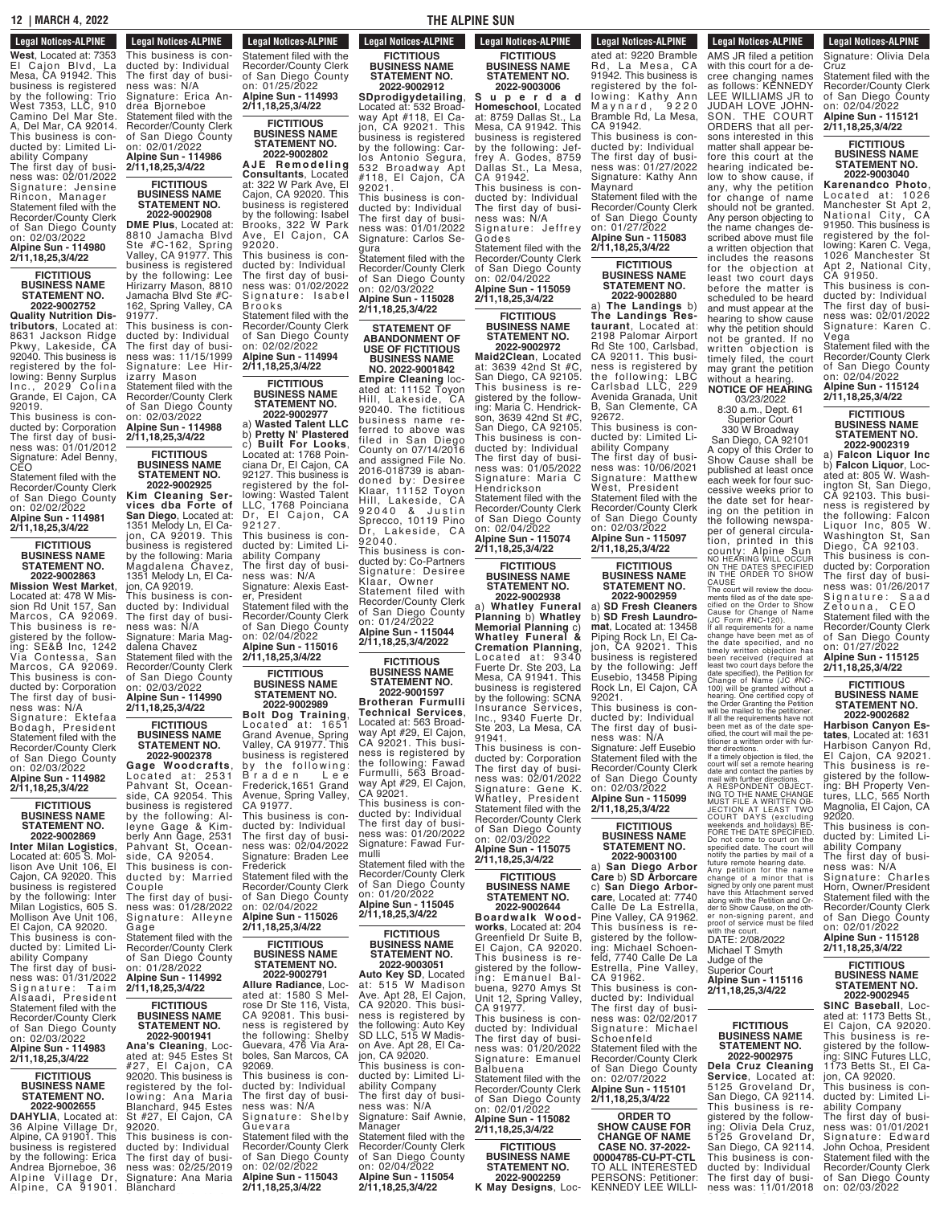#### **12** | MARCH 4, 2022 **THE ALPINE SUN STATE NO.**<br>**NO.**<br>**NO.**<br>**NO.**

## **Legal Notices-ALPINE 2022-9002867**

**T ri o T o w n h o m e s West, Located at: 7353**<br>El Caion Blyd, La El Caion Blvd. Mesa, CA 91942. This business is registered by the following: Trio West 7353, LLC, 910 Camino Del Mar Ste. A, Del Mar, CA 92014. This business is conducted by: Limited Liability Company The first day of busi-

ness was: 02/01/2022 Signature: Jensine Rincon, Manager Statement filed with the Recorder/County Clerk of San Diego County on: 02/03/2022 **Alpine Sun - 114980**

# **2/11,18,25,3/4/22 FICTITIOUS**

#### **BUSINESS NAME STATEMENT NO. 2022-9002752**

**Quality Nutrition Distributors**, Located at: 8631 Jackson Ridge Pkwy, Lakeside, CA 92040. This business is registered by the following: Benny Surplus Inc., 2029 Colina Grande, El Cajon, CA 92019.

This business is conducted by: Corporation The first day of business was: 01/01/2012 Signature: Adel Benny, CEO

Statement filed with the Recorder/County Clerk of San Diego County on: 02/02/2022

#### **Alpine Sun - 114981 2/11,18,25,3/4/22**

**FICTITIOUS BUSINESS NAME STATEMENT NO. 2022-9002863**

**Mission West Market**, Located at: 478 W Mission Rd Unit 157, San Marcos, CA 92069. This business is registered by the following: SE&B Inc, 1242 Via Contessa, San Marcos, CA 92069. This business is conducted by: Corporation The first day of business was: N/A

Signature: Ektefaa Bodagh, President Statement filed with the Recorder/County Clerk of San Diego County on: 02/03/2022

## **Alpine Sun - 114982 2/11,18,25,3/4/22**

#### **FICTITIOUS BUSINESS NAME STATEMENT NO. 2022-9002869**

**Inter Milan Logistics**, Located at: 605 S. Mollison Ave Unit 106, El Cajon, CA 92020. This business is registered by the following: Inter Milan Logistics, 605 S. Mollison Ave Unit 106, El Cajon, CA 92020. This business is conducted by: Limited Liability Company

The first day of business was: 01/31/2022 Signature: Taim Alsaadi, President Statement filed with the Recorder/County Clerk

#### of San Diego County on: 02/03/2022 **Alpine Sun - 114983**

# **2/11,18,25,3/4/22 FICTITIOUS**

### **BUSINESS NAME STATEMENT NO. 2022-9002655**

**DAHYLIA**, Located at: 36 Alpine Village Dr, Alpine, CA 91901. This business is registered by the following: Erica Andrea Bjorneboe, 36 Alpine Vi l lage Dr, Alpine, CA 91901.

**Legal Notices-ALPINE Legal NULLES-ALFINE** This business is conducted by: Individual The first day of business was: N/A Signature: Erica Andrea Bjorneboe Statement filed with the Recorder/County Clerk of San Diego County on: 02/01/2022 **Alpine Sun - 114986**

Andrea Bjorneboe, 36

# **2/11,18,25,3/4/22 FICTITIOUS**

**STATEMENT NO. 2022-9002908**

8810 Jamacha Blvd Ste #C-162, Spring Valley, CA 91977. This business is registered by the following: Lee Hirizarry Mason, 8810 Jamacha Blvd Ste #C-162, Spring Valley, CA 91977. This business is conducted by: Individual The first day of busi-

on: 02/03/2022 **Alpine Sun - 114988**

**FICTITIOUS**

# **2022-9002925**

**Kim Cleaning Services dba Forte of San Diego**, Located at: 1351 Melody Ln, El Cajon, CA 92019. This business is registered by the following: Maria Magdalena Chavez, 1351 Melody Ln, El Cajon, CA 92019. This business is conducted by: Individual The first day of business was: N/A Signature: Maria Magdalena Chavez

on: 02/03/2022 **Alpine Sun - 114990 2/11,18,25,3/4/22**

**FICTITIOUS STATEMENT NO.**

**Gage Woodcrafts**, Located at: 2531 Pahvant St, Oceanside, CA 92054. This business is registered by the following: Alleyne Gage & Kimberly Ann Gage, 2531 Pahvant St, Oceanson, Ann dago, E.<br>Pahvant St, Oce<br>side, CA 92054. This business is conducted by: Married Couple The first day of busi-

Signature: Alleyne Gage Statement filed with the

**2/11,18,25,3/4/22**

#### **BUSINESS NAME STATEMENT NO. 2022-9001941**

**Ana's Cleaning**, Located at: 945 Estes St #27, El Cajon, CA 92020. This business is registered by the following: Ana Maria Blanchard, 945 Estes #27, El Cajon, CA 92020. This business is conducted by: Individual The first day of business was: 02/25/2019 Signature: Ana Maria<br>Blanchard

**BUSINESS NAME**

**DME Plus**, Located at:

ness was: 11/15/1999 Signature: Lee Hirizarry Mason Statement filed with the Recorder/County Clerk of San Diego County

**2/11,18,25,3/4/22**

**BUSINESS NAME STATEMENT NO.**

Statement filed with the Recorder/County Clerk of San Diego County

# **BUSINESS NAME 2022-9002378**

ness was: 01/28/2022 by the following: Braden Lee Frederick,1651 Grand Avenue, Spring Valley, CA 91977. This business is conducted by: Individual The first day of business was: 02/04/2022 Signature: Braden Lee **Frederick** Statement filed with the Recorder/County Clerk of San Diego County on: 02/04/2022 **Alpine Sun - 115026 2/11,18,25,3/4/22**

Recorder/County Clerk of San Diego County on: 01/28/2022 **Alpine Sun - 114992**

# **FICTITIOUS**

the following: Shelby Guevara, 476 Via Araboles, San Marcos, CA 92069. This business is conducted by: Individual The first day of business was: N/A Signature: Shelby Gu e v a r a Statement filed with the Recorder/County Clerk of San Diego County on: 02/02/2022 **Alpine Sun - 115043 2/11,18,25,3/4/22**

**Legal Notices-ALPINE Legal Notified** Statement filed with the Recorder/County Clerk of San Diego County on: 01/25/2022 **Alpine Sun - 114993 2/11,18,25,3/4/22**

ness was: 02/25/2019

### **FICTITIOUS BUSINESS NAME STATEMENT NO. 2022-9002802**

**A JE R e m o d e l i n g Consultants**, Located at: 322 W Park Ave, El Cajon, CA 92020. This business is registered by the following: Isabel Brooks, 322 W Park Ave, El Cajon, CA

92020. This business is conducted by: Individual The first day of business was: 01/02/2022 Signature: Isabel Br o o k s Statement filed with the

Recorder/County Clerk of San Diego County on: 02/02/2022 **Alpine Sun - 114994 2/11,18,25,3/4/22**

## **FICTITIOUS BUSINESS NAME**

**STATEMENT NO. 2022-9002977** a) **Wasted Talent LLC**

b) **Pretty N' Plastered** c) **Built For Looks**, Located at: 1768 Poinciana Dr, El Cajon, CA 92127. This business is registered by the following: Wasted Talent LLC, 1768 Poinciana LLC, 1768 POINTRING 9 2 1 2 7 . This business is conducted by: Limited Liability Company The first day of business was: N/A Signature: Alexis Easter<sup>T</sup>President Statement filed with the Recorder/County Clerk ferred to above was filed in San Diego County on 07/14/2016 and assigned File No. 2016-018739 is abandoned by: Desiree Klaar, 11152 Toyon Hill, Lakeside, CA 92040 & Justin Sprecco, 10119 Pino Dr, Lakeside, CA Dr. La<br>92040. This business is conducted by: Co-Partners Signature: Desiree Klaar, Owner Statement filed with Recorder/County Clerk of San Diego County

of San Diego County on: 02/04/2022 **Alpine Sun - 115016 2/11,18,25,3/4/22**

**2022-9002989 Bolt Dog Training**, Located at: 1651 Grand Avenue, Spring Valley, CA 91977. This business is registered

**FICTITIOUS BUSINESS NAME STATEMENT NO. 2022-9002791 Allure Radiance**, Located at: 1580 S Melrose Dr Ste 116, Vista, CA 92081. This business is registered by

**FICTITIOUS BUSINESS NAME STATEMENT NO. FICTITIOUS BUSINESS NAME STATEMENT NO. 2022-9001597**

**Brotheran Furmulli Technical Services**, Located at: 563 Broadway Apt #29, El Cajon, CA 92021. This business is registered by the following: Fawad Furmulli, 563 Broadway Apt #29, El Cajon, CA 92021.

on: 01/24/2022 **Alpine Sun - 115044 2/11,18,25,3/4/2022**

This business is conducted by: Individual The first day of business was: 01/20/2022 Signature: Fawad Furmulli

Statement filed with the Recorder/County Clerk of San Diego County on: 01/20/2022 **Alpine Sun - 115045**

## **2/11,18,25,3/4/22 FICTITIOUS**

**BUSINESS NAME STATEMENT NO. 2022-9003051 Auto Key SD**, Located at: 515 W Madison

Ave. Apt 28, El Cajon, CA 92020. This business is registered by the following: Auto Key SD LLC, 515 W Madis-<br>on Ave. Apt 28, El Cajon, CA 92020. This business is conducted by: Limited Liability Company The first day of business was: N/A Signature: Saif Awnie,

Manager Statement filed with the Recorder/County Clerk of San Diego County on: 02/04/2022 **Alpine Sun - 115054**

**2/11,18,25,3/4/22**

**Legal Notices-ALPINE FICTITIOUS BUSINESS NAME STATEMENT NO.**

**Legal Notices-ALPINE FICTITIOUS BUSINESS NAME STATEMENT NO. 2022-9002912 SDprodigydetailing**, Located at: 532 Broadway Apt #118, El Cajon, CA 92021. This business is registered by the following: Carlos Antonio Segura, 532 Broadway Apt #118, El Cajon, CA

This business is conducted by: Individual The first day of business was: 01/01/2022 Signature: Carlos Se-

Statement filed with the Recorder/County Clerk of San Diego County on: 02/03/2022 **Alpine Sun - 115028 2/11,18,25,3/4/22 STATEMENT OF ABANDONMENT OF USE OF FICTITIOUS BUSINESS NAME NO. 2022-9001842 Empire Cleaning** located at: 11152 Toyon Hill, Lakeside, CA 92040. The fictitious business name re-

92021.

gura

#### **2022-9003006 S u p e r d a d Homeschool**, Located at: 8759 Dallas St., La Mesa, CA 91942. This business is registered

by the following: Jeffrey A. Godes, 8759 Dallas St., La Mesa, CA 91942. This business is conducted by: Individual The first day of business was: N/A

Signature: Jeffrey Godes Statement filed with the Recorder/County Clerk

of San Diego County on: 02/04/2022 **Alpine Sun - 115059**

**2/11,18,25,3/4/22 FICTITIOUS**

**BUSINESS NAME STATEMENT NO. 2022-9002972**

**Maid2Clean**, Located at: 3639 42nd St #C, San Diego, CA 92105.<br>This business is re-This business is registered by the following: Maria C. Hendrickson, 3639 42nd St #C, San Diego, CA 92105. This business is conducted by: Individual The first day of business was: 01/05/2022 Signature: Maria C Hendrickson Statement filed with the Recorder/County Clerk of San Diego County

on: 02/04/2022 **Alpine Sun - 115074 2/11,18,25,3/4/22**

**FICTITIOUS BUSINESS NAME STATEMENT NO. 2022-9002938**

a) **Whatley Funeral Planning** b) **Whatley Memorial Planning** c) **Whatley Funeral & Cremation Planning**, Located at: 9340 Fuerte Dr. Ste 203, La Mesa, CA 91941. This business is registered by the following: SCNA Insurance Services, Inc., 9340 Fuerte Dr. Ste 203, La Mesa, CA 91941.

This business is conducted by: Corporation The first day of business was: 02/01/2022 Signature: Gene K. Whatley, President Statement filed with the Recorder/County Clerk of San Diego County

on: 02/03/2022 **Alpine Sun - 115075 2/11,18,25,3/4/22**

**FICTITIOUS BUSINESS NAME STATEMENT NO. 2022-9002644**

**Boardwalk Woodworks**, Located at: 204 Greenfield Dr Suite B, El Cajon, CA 92020 This business is registered by the following: Emanuel Balbuena, 9270 Amys St Unit 12, Spring Valley,

CA 91977. This business is conducted by: Individual The first day of business was: 01/20/2022 Signature: Emanuel **Balbuena** Statement filed with the Recorder/County Clerk of San Diego County on: 02/01/2022 **Alpine Sun - 115082**

**2/11,18,25,3/4/22 FICTITIOUS BUSINESS NAME STATEMENT NO. 2022-9002259**

**K May Designs**, Loc-

**STATEMENT NO.** TO ALL INTERESTED AND THE RESERVE OF A

#### **Legal Notices-ALPINE 2022-9002259 EXAMPLE BRIDGES-ALPINE Legal Notices-ALPINE** LEYAI NULLES-ALFINE

#### ated at: 9220 Bramble<br>Rd. La Mesa. CA La Mesa, CA 91942. This business is registered by the following: Kathy Ann Maynard, 9220 Maynard, 9220<br>Bramble Rd, La Mesa, CA 91942. This business is conducted by: Individual The first day of business was: 01/27/2022 Signature: Kathy Ann **Maynard** Statement filed with the Recorder/County Clerk of San Diego County AMS JR filed a petition with this court for a decree changing names as follows: KENNEDY LEE WILLIAMS JR to JUDAH LOVE JOHN-SON. THE COURT ORDERS that all persons interested in this matter shall appear before this court at the hearing indicated below to show cause, if any, why the petition for change of name should not be granted. Any person objecting to

the name changes described above must file a written objection that includes the reasons for the objection at least two court days before the matter is scheduled to be heard and must appear at the hearing to show cause why the petition should not be granted. If no written objection is timely filed, the court may grant the petition without a hearing **NOTICE OF HEARING** 03/23/2022 8:30 a.m., Dept. 61 Superior Court 330 W Broadway San Diego, CA 92101 A copy of this Order to Show Cause shall be published at least once .<br>each week for four successive weeks prior to the date set for hearing on the petition in the following newspaper of general circulation, printed in this county: Alpine Sun<br>no hearing Will Occur<br>on the Dates specified<br>in the Order to show<br>cause

**Legal Notices-ALPINE** ducted by: Individual by: Individual by: **Legal NULLES-ALFINE** Signature: Olivia Dela Cruz Statement filed with the Recorder/County Clerk of San Diego County on: 02/04/2022 **Alpine Sun - 115121 2/11,18,25,3/4/22 FICTITIOUS BUSINESS NAME STATEMENT NO. 2022-9003040 Karenandco Photo**, Located at: 1026 Manchester St Apt 2, National City, CA 91950. This business is registered by the following: Karen C. Vega, 1026 Manchester St Apt 2, National City,

CA 91950.

Vega

This business is conducted by: Individual The first day of business was: 02/01/2022 Signature: Karen C.

Statement filed with the Recorder/County Clerk of San Diego County on: 02/04/2022 **Alpine Sun - 115124 2/11,18,25,3/4/22 FICTITIOUS BUSINESS NAME STATEMENT NO. 2022-9002319** a) **Falcon Liquor Inc** b) **Falcon Liquor**, Located at: 805 W. Washington St, San Diego, CA 92103. This business is registered by the following: Falcon Liquor Inc, 805 W. Washington St, San Diego, CA 92103. This business is conducted by: Corporation The first day of business was: 01/26/2017<br>Signature: Saad Signature: Saad Zetouna, CEO Statement filed with the Recorder/County Clerk of San Diego County on: 01/27/2022 **Alpine Sun - 115125 2/11,18,25,3/4/22 FICTITIOUS BUSINESS NAME STATEMENT NO. 2022-9002682 Harbison Canyon Estates**, Located at: 1631 Harbison Canyon Rd, El Cajon, CA 92021. This business is registered by the following: BH Property Ventures, LLC, 565 North Magnolia, El Cajon, CA

The court will review the docu-<br>ments filed as of the date good<br>crited on the Order to Show<br>Cause for Change of Name<br>(JC Form #NC-120).<br>The fill requirements for a name<br>the date specified, and no<br>obtained witten objection

If a timely objection is filed, the<br>count will set a remote hearing<br>date and contact the parties by<br>mail with further directions.<br>CNA RESPONDENT OBJECT-INGTOR<br>MUST FILE A MRITTEN OB-<br>MUST FILE A MRITTEN OB-<br>COURT DAYS (exc

92020.

This business is conducted by: Limited Liability Company The first day of business was: N/A Signature: Charles Horn, Owner/President Statement filed with the Recorder/County Clerk of San Diego County on: 02/01/2022 **Alpine Sun - 115128 2/11,18,25,3/4/22 FICTITIOUS BUSINESS NAME STATEMENT NO. 2022-9002945 SINC Baseball**, Located at: 1173 Betts St., El Cajon, CA 92020. This business is registered by the following: SINC Futures LLC, 1173 Betts St., El Cajon, CA 92020. This business is conducted by: Limited Liability Company The first day of busi- ness was: 01/01/2021 Signature: Edward John Ochoa, President Statement filed with the Recorder/County Clerk of San Diego County on: 02/03/2022 **Alpine Sun - 115137**

Michael T Smyth Judge of the Superior Court **Alpine Sun - 115116 2/11,18,25,3/4/22**

**FICTITIOUS BUSINESS NAME STATEMENT NO. 2022-9002975 Dela Cruz Cleaning Service**, Located at: 5125 Groveland Dr, San Diego, CA 92114. This business is registered by the follow-<br>ing: Olivia Dela Cruz, 5125 Groveland Dr, San Diego, CA 92114. This business is conducted by: Individual The first day of busi- ness was: 11/01/2018

on: 01/27/2022 **Alpine Sun - 115083 2/11,18,25,3/4/22**

#### **FICTITIOUS BUSINESS NAME STATEMENT NO. 2022-9002880**

a) **The Landings** b) **The Landings Restaurant**, Located at: 2198 Palomar Airport Rd Ste 100, Carlsbad, CA 92011. This business is registered by the following: LBC Carlsbad LLC, 229 Avenida Granada, Unit B, San Clemente, CA 92672.

This business is conducted by: Limited Liability Company The first day of business was: 10/06/2021 Signature: Matthew West, President Statement filed with the Recorder/County Clerk of San Diego County on: 02/03/2022 **Alpine Sun - 115097 2/11,18,25,3/4/22**

**FICTITIOUS BUSINESS NAME STATEMENT NO. 2022-9002959**

a) **SD Fresh Cleaners** b) **SD Fresh Laundromat**, Located at: 13458 Piping Rock Ln, El Cajon, CA 92021. This business is registered by the following: Jeff Eusebio, 13458 Piping Rock Ln, El Cajon, CA 92021.

This business is conducted by: Individual The first day of business was: N/A Signature: Jeff Eusebio Statement filed with the Recorder/County Clerk of San Diego County on: 02/03/2022

**Alpine Sun - 115099**

#### **2/11,18,25,3/4/22 FICTITIOUS BUSINESS NAME STATEMENT NO.**

**2022-9003100** a) **San Diego Arbor Care** b) **SD Arborcare** c) **San Diego Arborcare**, Located at: 7740 Calle De La Estrella, Pine Valley, CA 91962. This business is registered by the following: Michael Schoenfeld, 7740 Calle De La Estrella, Pine Valley, CA 91962.

This business is conducted by: Individual The first day of business was: 02/02/2017 Signature: Michael Schoenfeld Statement filed with the Recorder/County Clerk of San Diego County on: 02/07/2022 **Alpine Sun - 115101 2/11,18,25,3/4/22**

**ORDER TO SHOW CAUSE FOR CHANGE OF NAME CASE NO. 37-2022- 00004785-CU-PT-CTL** TO ALL INTERESTED PERSONS: Petitioner: KENNEDY LEE WILLI-AMS JR filed a petition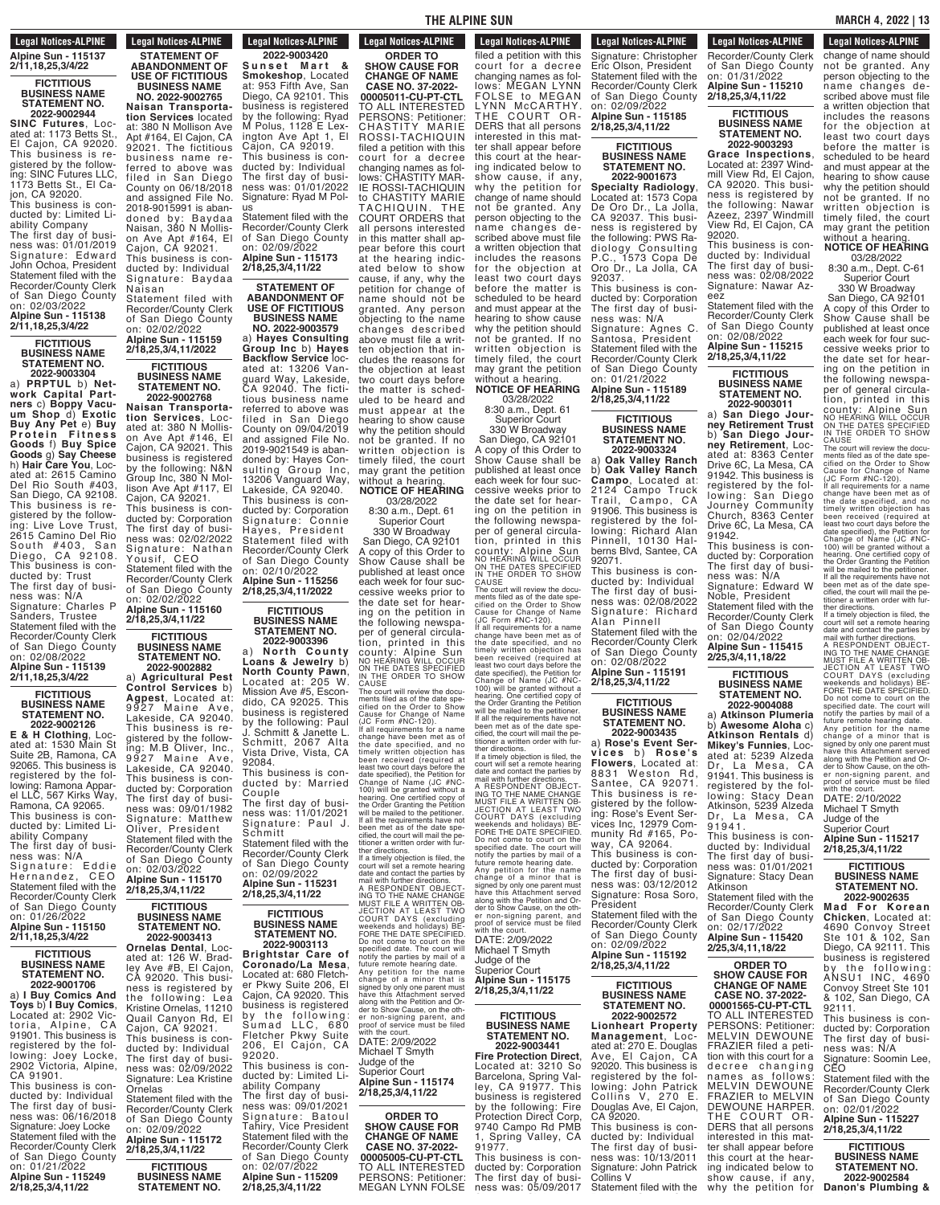#### **Legal Notices-ALPINE** Recorder/County Clerk **LEYAL NULLES AL Alpine Sun - 115137 2/11,18,25,3/4/22**

## **FICTITIOUS BUSINESS NAME**

#### **STATEMENT NO. 2022-9002944**

**SINC Futures**, Located at: 1173 Betts St. El Cajon, CA 92020.<br>This business is re-This business is registered by the following: SINC Futures LLC, 1173 Betts St., El Cajon, CA 92020. This business is con-

ducted by: Limited Liability Company The first day of busi-

ness was: 01/01/2019 Signature: Edward John Ochoa, President Statement filed with the Recorder/County Clerk of San Diego County on: 02/03/2022 **Alpine Sun - 115138 2/11,18,25,3/4/22**

#### **FICTITIOUS BUSINESS NAME STATEMENT NO.**

**2022-9003304**

a) **PRPTUL** b) **Net-work Capital Partners** c) **Boppy Vacuum Shop** d) **Exotic Buy Any Pet** e) **Buy P r o t e i n F i t n e s s Goods** f) **Buy Spice Goods** g) **Say Cheese** h) **Hair Care You**, Located at: 2615 Camino Del Rio South #403, San Diego, CA 92108. This business is registered by the following: Live Love Trust, 2615 Camino Del Rio South # 403, San<br>Diego, CA 92108. This business is conducted by: Trust The first day of busi-

ness was: N/A Signature: Charles P Sanders, Trustee Statement filed with the Recorder/County Clerk of San Diego County on: 02/08/2022 **Alpine Sun - 115139 2/11,18,25,3/4/22**

#### **FICTITIOUS BUSINESS NAME STATEMENT NO.**

**2022-9002126 E & H Clothing**, Located at: 1530 Main St Suite 2B, Ramona, CA 92065. This business is registered by the following: Ramona Apparel LLC, 567 Kirks Way, Ramona, CA 92065. This business is conducted by: Limited Liability Company

The first day of business was: N/A Signature: Eddie<br>Hernandez, CEO Statement filed with the Recorder/County Clerk of San Diego County on: 01/26/2022 **Alpine Sun - 115150**

#### **2/11,18,25,3/4/22 FICTITIOUS BUSINESS NAME STATEMENT NO.**

**2022-9001706** a) **I Buy Comics And Toys** b) **I Buy Comics**, Located at: 2902 Victoria, Alpine, CA 91901. This business is<br>registered by the following: Joey Locke, 2902 Victoria, Alpine, CA 91901. This business is conducted by: Individual The first day of business was: 06/16/2018 Signature: Joey Locke Statement filed with the Recorder/County Clerk

of San Diego County on: 01/21/2022 **Alpine Sun - 115249 2/18,25,3/4,11/22**

**Legal Notices-ALPINE STATEMENT OF**

**ABANDONMENT OF USE OF FICTITIOUS BUSINESS NAME NO. 2022-9002765 Naisan Transportation Services** located at: 380 N Mollison Ave Apt #164, El Cajon, CA 92021. The fictitious business name referred to above was filed in San Diego County on 06/18/2018 and assigned File No. 2018-9015991 is abandoned by: Baydaa

Naisan, 380 N Mollison Ave Apt #164, El Cajon, CA 92021. This business is conducted by: Individual Signature: Baydaa Naisan Statement filed with

Recorder/County Clerk of San Diego County on: 02/02/2022

## **Alpine Sun - 115159 2/18,25,3/4,11/2022 FICTITIOUS**

**BUSINESS NAME STATEMENT NO. 2022-9002768 Naisan Transportation Services**, Located at: 380 N Mollison Ave Apt #146, El Cajon, CA 92021. This business is registered by the following: N&N Group Inc, 380 N Mollison Ave Apt #117, El Cajon, CA 92021. This business is conducted by: Corporation The first day of business was: 02/02/2022 Signature: Nathan Yousif, CEO

Statement filed with the Recorder/County Clerk of San Diego County on: 02/02/2022 **Alpine Sun - 115160 2/18,25,3/4,11/22**

#### **FICTITIOUS BUSINESS NAME STATEMENT NO. 2022-9002882**

a) **Agricultural Pest Control Services** b) **Agpest**, Located at: Agpest, Eccator at Lakeside, CA 92040. This business is registered by the following: M.B Oliver, Inc., 9927 Maine Ave, Lakeside, CA 92040. This business is conducted by: Corporation The first day of business was: 09/01/1982 Signature: Matthew Oliver, President Statement filed with the Recorder/County Clerk of San Diego County on: 02/03/2022 **Alpine Sun - 115170 2/18,25,3/4,11/22**

> **FICTITIOUS BUSINESS NAME STATEMENT NO. 2022-9003413**

**Ornelas Dental**, Located at: 126 W. Bradley Ave #B, El Cajon, ley Ave #B, El Cajon<br>CA 92020. This business is registered by the following: Lea Kristine Ornelas, 11210 Quail Canyon Rd, El Cajon, CA 92021. This business is conducted by: Individual The first day of business was: 02/09/2022 Signature: Lea Kristine Ornelas Statement filed with the Recorder/County Clerk of San Diego County on: 02/09/2022

**Alpine Sun - 115172 2/18,25,3/4,11/22 FICTITIOUS**

**BUSINESS NAME STATEMENT NO. 2022-9003420 2/18,25,3/4,11/22**

**Legal Notices-ALPINE BUSINESS NAME FICTIOUS STATEMENT NO. 2022-9003420**

**S u n s e t M a r t & Smokeshop**, Located at: 953 Fifth Ave, San Diego, CA 92101. This business is registered by the following: Ryad M Polus, 1128 E Lexington Ave Apt 1, El Cajon, CA 92019. This business is conducted by: Individual The first day of business was: 01/01/2022 Signature: Ryad M Polus

Statement filed with the Recorder/County Clerk of San Diego County on: 02/09/2022 **Alpine Sun - 115173 2/18,25,3/4,11/22**

#### **STATEMENT OF ABANDONMENT OF USE OF FICTITIOUS BUSINESS NAME**

**NO. 2022-9003579** a) **Hayes Consulting Group Inc** b) **Hayes Backflow Service** located at: 13206 Vanguard Way, Lakeside, CA 92040. The fictitious business name referred to above was filed in San Diego County on 09/04/2019 and assigned File No. 2019-9021549 is abandoned by: Hayes Consulting Group Inc, 13206 Vanguard Way, Lakeside, CA 92040. This business is conducted by: Corporation Signature: Connie Hayes, President Statement filed with Recorder/County Clerk of San Diego County on: 02/10/2022

#### **Alpine Sun - 115256 2/18,25,3/4,11/2022**

**FICTITIOUS BUSINESS NAME STATEMENT NO. 2022-9003396**

a) **North County Loans & Jewelry** b) **North County Pawn**, Located at: 205 W. Mission Ave #5, Escondido, CA 92025. This business is registered the following: Paul J. Schmitt & Janette L. Schmitt, 2067 Alta Vista Drive, Vista, CA 92084.

This business is conducted by: Married Couple The first day of busi-

ness was: 11/01/2021 Signature: Paul J. Schmitt Statement filed with the Recorder/County Clerk

of San Diego County on: 02/09/2022 **Alpine Sun - 115231 2/18,25,3/4,11/22**

> **FICTITIOUS BUSINESS NAME STATEMENT NO. 2022-9003113**

**Brightstar Care of Coronado/La Mesa**, Located at: 680 Fletcher Pkwy Suite 206, El Cajon, CA 92020. This business is registered by the following: Sumad LLC, 680 Fletcher Pkwy Suite<br>206, El Cajon, CA 92020. This business is conducted by: Limited Liability Company The first day of business was: 09/01/2021 Signature: Batoul Tahiry, Vice President Statement filed with the Recorder/County Clerk

of San Diego County on: 02/07/2022 **Alpine Sun - 115209**

**Legal Notices-ALPINE ORDER TO**

**SHOW CAUSE FOR CHANGE OF NAME CASE NO. 37-2022- 00005011-CU-PT-CTL** TO ALL INTERESTED PERSONS: Petitioner: CHASTITY MARIE ROSSI-TACHIQUIN filed a petition with this court for a decree changing names as follows: CHASTITY MAR-IE ROSSI-TACHIQUIN to CHASTITY MARIE TACHIQUIN. THE COURT ORDERS that persons interested in this matter shall appear before this court at the hearing indicated below to show cause, if any, why the petition for change of name should not be granted. Any person objecting to the name changes described above must file a written objection that includes the reasons for the objection at least two court days before the matter is scheduled to be heard and must appear at the hearing to show cause why the petition should not be granted. If no written objection is timely filed, the court may grant the petition without a hearing.

without a hearing. **NOTICE OF HEARING** 03/28/2022

8:30 a.m., Dept. 61 Superior Court

330 W Broadway San Diego, CA 92101 A copy of this Order to Show Cause shall be published at least once each week for four successive weeks prior to the date set for hearing on the petition in the following newspaper of general circulation, printed in this<br>county: Alpine Sun<br>NO HEARING WILL OCCUR<br>ON THE DATES SPECIFIED<br>IN THE ORDER TO SHOW COUNTY: Alpine Sun<br>NO HEARING WILL OCCUR<br>ON THE DATES SPECIFIED<br>IN THE ORDER TO SHOW<br>CAUSE<br>CAUSE ORDER TO SHOW<br>The court will review the docu-<br>cified on the Order to Show<br>Cause for Change of Name<br>of UC Form #NC-120).<br>If al

change have been met as of<br>the date specified, and no<br>timely written objection has<br>been received (required at<br>least two court days before the<br>date specified), the Petition for<br>Change of Name (JC #NC-<br>100) will be granted w If all the requirements have not<br>been met as of the date spe-<br>cified, the court will mail the pe-<br>titioner a written order with fur-<br>ther directions.<br>If a timely objection is filed, the<br>court will set a remote hearing

date and contact the parties by<br>mail with further directions.<br>A RESPONDENT OBJECT-ING<br>TO THE NAME CHANGE<br>MUST FILE A WRITTEN OB-<br>JECTION AT LEAST TWO<br>COURT DAYS (excluding<br>weekends and holidays) BE-<br>FORE THE DATE SPECIFIED Do not come to court on the<br>specified date. The court will<br>notify the parties by mail of a<br>future remote hearing date.<br>Any petition for the name<br>change of a minor that is<br>signed by only one parent must<br>along with the Petit

with the court.<br>DATE: 2/09/2022 Michael T Smyth Judge of the Superior Court **Alpine Sun - 115174 2/18,25,3/4,11/22**

**ORDER TO SHOW CAUSE FOR CHANGE OF NAME CASE NO. 37-2022- 00005005-CU-PT-CTL** TO ALL INTERESTED PERSONS: Petitioner: MEGAN LYNN FOLSE

filed a petition with this

**Legal Notices-ALPINE** LEYAI NUMERS-ALFINE filed a petition with this court for a decree changing names as follows: MEGAN LYNN FOLSE to MEGAN LYNN McCARTHY. THE COURT OR DERS that all persons interested in this matter shall appear before this court at the hearing indicated below to show cause, if any, why the petition for change of name should not be granted. Any person objecting to the name changes described above must file a written objection that includes the reasons for the objection at least two court days<br>before the matter is before the matter scheduled to be heard and must appear at the hearing to show cause why the petition should not be granted. If no written objection is timely filed, the court may grant the petition

**NOTICE OF HEARING** 03/28/2022 8:30 a.m., Dept. 61

Superior Court 330 W Broadway

San Diego, CA 92101 A copy of this Order to Show Cause shall be published at least once each week for four successive weeks prior to the date set for hearing on the petition in the following newspaper of general circulation, printed in this county: Alpine Sun<br>no hearing Will occur<br>on the dates specified<br>in the order to show<br>cause

The court will review the documents fiied as of the date specified on the Order to Show<br>cause for Change of Name<br>(JC Form #NC-120).<br>(JC Form #NC-120).<br>The lal requirements for a name of the date specified, and no<br>change ha

ther directions.<br>If a timely objection is filed, the<br>court will set a remote hearing<br>adde and contact the parties by<br>mail with further directions.<br>A RESPONDENT OBJECT-<br>ING TO THE NAME CHANGE<br>JUST FILE A WRITTEN OB-<br>JECTION weekends and holidays) BE-<br>FORE THE DATE SPECIFIED.<br>Do not come to court on the<br>specified date. The court will<br>notify the parties by mail of a<br>future remote hearing date.

Any petition for the name<br>change of a minor that is<br>signed by only one parent must<br>have this Attachment served<br>along with the Petition and Or-<br>der to Show Cause, on the other<br>proof of service must be filed<br>with the court. DATE: 2/09/2022 Michael T Smyth

Judge of the Superior Court **Alpine Sun - 115175 2/18,25,3/4,11/22**

#### **FICTITIOUS BUSINESS NAME STATEMENT NO. 2022-9003441**

**Fire Protection Direct**, Located at: 3210 So Barcelona, Spring Valley, CA 91977. This business is registered by the following: Fire Protection Direct Corp, <sup>9740</sup> Campo Rd PMB 1, Spring Valley, CA

91977.

This business is conducted by: Corporation The first day of business was: 05/09/2017<br>.

**Legal Notices-ALPINE** Leyal NULLES-ALFINE Signature: Christopher Eric Olson, President Statement filed with the Recorder/County Clerk of San Diego County on: 02/09/2022

ducted by: Corporation and Corporation

**Alpine Sun - 115185 2/18,25,3/4,11/22**

#### **FICTITIOUS BUSINESS NAME STATEMENT NO. 2022-9001673**

**Specialty Radiology**, Located at: 1573 Copa De Oro Dr., La Jolla, CA 92037. This business is registered by the following: PWS Radiology Consulting P.C., 1573 Copa De Oro Dr., La Jolla, CA 92037. This business is con-

ducted by: Corporation The first day of business was: N/A Signature: Agnes C. Santosa, President Statement filed with the Recorder/County Clerk of San Diego County on: 01/21/2022 **Alpine Sun - 115189 2/18,25,3/4,11/22**

**FICTITIOUS BUSINESS NAME STATEMENT NO.**

**2022-9003324** a) **Oak Valley Ranch** b) **Oak Valley Ranch Campo**, Located at: 2124 Campo Truck Trail, Campo, CA 91906. This business is registered by the following: Richard Alan Pinnell, 10130 Halberns Blvd, Santee, CA 92071.

This business is conducted by: Individual The first day of business was: 02/08/2022 Signature: Richard Alan Pinnell Statement filed with the

Recorder/County Clerk of San Diego County on: 02/08/2022 **Alpine Sun - 115191 2/18,25,3/4,11/22**

#### **FICTITIOUS BUSINESS NAME STATEMENT NO. 2022-9003435**

a) **Rose's Event Serv i c e s** b ) **R o s e ' s Flowers**, Located at: 8831 Weston Rd, Santee, CA 92071. This business is registered by the following: Rose's Event Services Inc, 12979 Community Rd #165, Poway, CA 92064. This business is conducted by: Corporation The first day of busi-ness was: 03/12/2012 Signature: Rosa Soro, President Statement filed with the Recorder/County Clerk of San Diego County on: 02/09/2022 **Alpine Sun - 115192 2/18,25,3/4,11/22**

**FICTITIOUS BUSINESS NAME**

**STATEMENT NO. 2022-9002572 Lionheart Property Management**, Located at: 270 E. Douglas Ave, El Cajon, CA 92020. This business is registered by the following: John Patrick Collins V, 270 E. Douglas Ave, El Cajon, CA 92020. This business is conducted by: Individual The first day of business was: 10/13/2011 Signature: John Patrick

Collins V Statement filed with the Recorder/County Clerk

**Legal Notices-ALPINE EUR EXECUTED FIRE** Recorder/County Clerk of San Diego County on: 01/31/2022 **Alpine Sun - 115210**

Signature: John Patrick

**2/18,25,3/4,11/22 FICTITIOUS**

**BUSINESS NAME STATEMENT NO. 2022-9003293**

**Grace Inspections**, Located at: 2397 Windmill View Rd, El Cajon, CA 92020. This business is registered by the following: Nawar Azeez, 2397 Windmill View Rd, El Cajon, CA 92020.

This business is conducted by: Individual The first day of business was: 02/08/2022 Signature: Nawar Azeez

Statement filed with the Recorder/County Clerk of San Diego County on: 02/08/2022 **Alpine Sun - 115215 2/18,25,3/4,11/22**

> **FICTITIOUS BUSINESS NAME STATEMENT NO. 2022-9003011**

a) **San Diego Journey Retirement Trust** b) **San Diego Journey Retirement**, Located at: 8363 Center Drive 6C, La Mesa, CA 91942. This business is registered by the following: San Diego Journey Community Church, 8363 Center Drive 6C, La Mesa, CA 91942.

This business is conducted by: Corporation The first day of business was: N/A Signature: Edward W Noble, President Statement filed with the Recorder/County Clerk of San Diego County

on: 02/04/2022 **Alpine Sun - 115415 2/25,3/4,11,18/22**

#### **FICTITIOUS BUSINESS NAME STATEMENT NO. 2022-9004088**

a) **Atkinson Plumeria** b) **Awesome Aloha** c) **Atkinson Rentals** d) **Mikey's Funnies**, Located at: 5239 Alzeda Dr, La Mesa, CA 91941. This business is registered by the following: Stacy Dean Atkinson, 5239 Alzeda Dr, La Mesa, CA  $91941$ 

This business is conducted by: Individual The first day of business was: 01/01/2021 Signature: Stacy Dean<br>Atkinson Statement<br>Atkinson<br>Statement filed with the

Recorder/County Clerk of San Diego County on: 02/17/2022 **Alpine Sun - 115420 2/25,3/4,11,18/22**

**ORDER TO SHOW CAUSE FOR CHANGE OF NAME CASE NO. 37-2022- 00001565-CU-PT-CTL** TO ALL INTERESTED

PERSONS: Petitioner: MELVIN DEWOUNE FRAZIER filed a petition with this court for a decree changing names as follows: MELVIN DEWOUNE FRAZIER to MELVIN DEWOUNE HARPER. THE COURT OR-DERS that all persons interested in this matter shall appear before this court at the hearing indicated below to show cause, if any,

change of name should

# why the petition for

**THE ALPINE SUN** MARCH 4, 2022 | 13  $\frac{1}{2}$  in directly to the set of  $\frac{1}{2}$ 

**Legal Notices-ALPINE Legal NUILES-ALFINE** change of name should<br>not be granted. Any

person objecting to the name changes described above must file a written objection that includes the reasons for the objection at least two court days before the matter is scheduled to be heard and must appear at the hearing to show cause why the petition should not be granted. If no written objection is timely filed, the court may grant the petition without a hearing. **NOTICE OF HEARING** 03/28/2022 8:30 a.m., Dept. C-61 Superior Court 330 W Broadway San Diego, CA 92101 A copy of this Order to Show Cause shall be published at least once each week for four successive weeks prior to the date set for hearing on the petition in the following newspaper of general circulation, printed in this county: Alpine Sun<br>NO HEARING WILL OCCUR<br>ON THE DATES SPECIFIED<br>IN THE ORDER TO SHOW CAUSE<br>The court will review the docu-

The court will review the docu-<br>ments filed as of the date specified on the Order to Show<br>clied on the Order to Show<br>(JC Form #NC-120).<br>(JC Form #NC-120).<br>change have been met as of<br>the date specified, and no<br>then the prec

least two court days before the<br>date specified), the Petition for<br>Change of Name (JC #NC-<br>100) will be granted without a<br>hearing. One certified copy of<br>the Order Granting the Petition<br>will be mailed to the petitioner.<br>If a

cified, the court will mail the pe-titioner a written order with fur-

ther directions.<br>If a timely objection is filed, the<br>court will set a remote hearing<br>date and contact the parties by<br>mail with further directions.<br>A RESPONDENT OBJECT-<br>INGTO HAT CHARGE<br>MUST FILE A WRITTEN OB-<br>COURT DAYS (e

signed by only one parent must have this Attachment served along with the Petition and Or-der to Show Cause, on the oth-er non-signing parent, and proof of service must be filed

 $\frac{1}{2}$  proof of service<br>with the court. DATE: 2/10/2022 Michael T Smyth Judge of the Superior Court **Alpine Sun - 115217 2/18,25,3/4,11/22 FICTITIOUS BUSINESS NAME STATEMENT NO. 2022-9002635 Mad For Korean Chicken**, Located at: 4690 Convoy Street Ste 101 & 102, San Diego, CA 92111. This business is registered by the following: ANSU1 INC, 4690 Convoy Street Ste 101 & 102, San Diego, CA

92111.

This business is conducted by: Corporation The first day of business was: N/A Signature: Soomin Lee, CEO Statement filed with the Recorder/County Clerk of San Diego County on: 02/01/2022 **Alpine Sun - 115227 2/18,25,3/4,11/22 FICTITIOUS BUSINESS NAME STATEMENT NO. 2022-9002584 Danon's Plumbing & Drain**, Located at: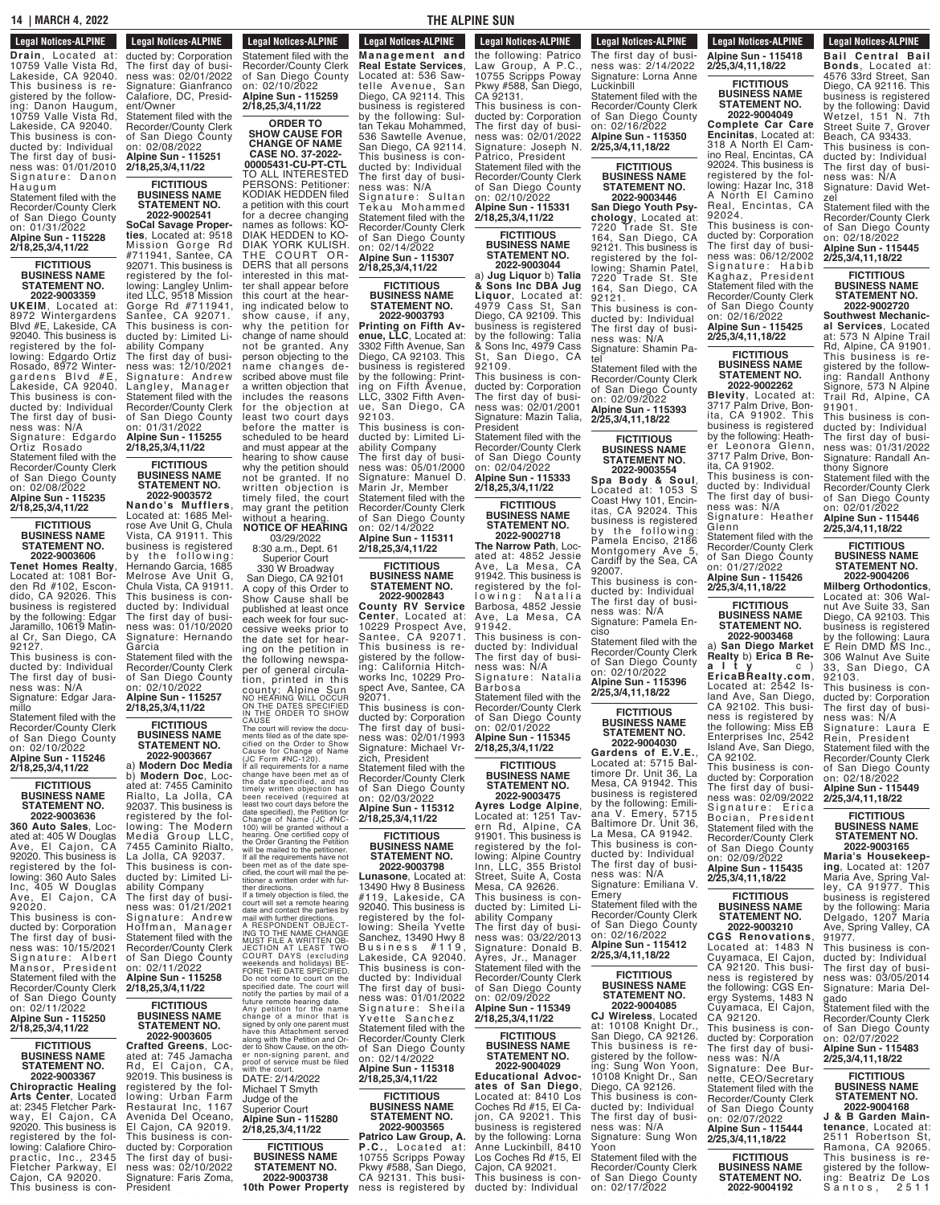#### **14 | MARCH 4, 2022 THE ALPINE SUN STATE NO.**<br>**NO.**<br>1997:  $\frac{1}{2}$

## **Legal Notices-ALPINE 2022-9002584**

**Degal Notices-Alpine Drain**, Located at: 10759 Valle Vista Rd, Lakeside, CA 92040. This business is registered by the following: Danon Haugum, 10759 Valle Vista Rd, Lakeside, CA 92040. This business is conducted by: Individual The first day of business was: 01/01/2010 Signature: Danon Haugum Statement filed with the

Recorder/County Clerk of San Diego County on: 01/31/2022 **Alpine Sun - 115228 2/18,25,3/4,11/22**

#### **FICTITIOUS BUSINESS NAME STATEMENT NO.**

**2022-9003359 UKEIM**, Located at: 8972 Wintergardens Blvd #E, Lakeside, CA 92040. This business is registered by the following: Edgardo Ortiz Rosado, 8972 Wintergardens Blvd #E, Lakeside, CA 92040. This business is conducted by: Individual The first day of business was: N/A Signature: Edgardo Ortiz Rosado Statement filed with the

Recorder/County Clerk of San Diego County on: 02/08/2022 **Alpine Sun - 115235 2/18,25,3/4,11/22**

#### **FICTITIOUS BUSINESS NAME STATEMENT NO. 2022-9003606**

**Tenet Homes Realty**, Located at: 1081 Borden Rd #102, Escondido, CA 92026. This business is registered by the following: Edgar Jaramillo, 10619 Matinal Cr, San Diego, CA 92127. This business is con-

ducted by: Individual The first day of business was: N/A Signature: Edgar Jara-

millo Statement filed with the Recorder/County Clerk of San Diego County on: 02/10/2022 **Alpine Sun - 115246**

**2/18,25,3/4,11/22 FICTITIOUS**

**BUSINESS NAME STATEMENT NO.**

**360 Auto Sales**, Located at: 405 W Douglas Ave, El Cajon, CA Ave, El Cajon, CA<br>92020. This business is registered by the following: 360 Auto Sales<br>Inc, 405 W Douglas Ave, El Cajon, CA 92020.

This business is conducted by: Corporation The first day of business was: 10/15/2021<br>Signature: Albert Signature: Albert Mansor, President Statement filed with the Recorder/County Clerk of San Diego County on: 02/11/2022 **Alpine Sun - 115250**

**2/18,25,3/4,11/22 FICTITIOUS**

**BUSINESS NAME STATEMENT NO. 2022-9003367**

**Chiropractic Healing Arts Center**, Located at: 2345 Fletcher Park-<br>way, El Cajon, CA way, El Cajon, CA 92020. This business is registered by the following: Calafiore Chiropractic, Inc., 2345 Fletcher Parkway, El Cajon, CA 92020. This business is con-

**Legal Notices-ALPINE The business is considered** ducted by: Corporation<br>The first day of business was: 02/01/2022 Signature: Gianfranco Calafiore, DC, President/Owner Statement filed with the Recorder/County Clerk of San Diego County on: 02/08/2022 **Alpine Sun - 115251 2/18,25,3/4,11/22**

Fletcher Parkway, El

# **FICTITIOUS**

**STATEMENT NO. 2022-9002541 SoCal Savage Properties**, Located at: 9518 Mission Gorge Rd #711941, Santee, CA 92071. This business is registered by the following: Langley Unlimited LLC, 9518 Mission Gorge Rd #711941, Santee, CA 92071. This business is conducted by: Limited Liability Company The first day of business was: 12/10/2021 Signature: Andrew Langley, Manager Statement filed with the Recorder/County Clerk of San Diego County on: 01/31/2022 **Alpine Sun - 115255**

**2/18,25,3/4,11/22 FICTITIOUS BUSINESS NAME**

**2022-9003572 Nando's Mufflers**, Located at: 1685 Melrose Ave Unit G, Chula Vista, CA 91911. This business is registered by the following: Hernando Garcia, 1685 Melrose Ave Unit G,

This business is conducted by: Individual The first day of business was: 01/10/2020 Signature: Hernando Garcia Statement filed with the

**2022-9003667**

**2022-9003636**

President

**Legal Notices-ALPINE Legal Not** 

**BUSINESS NAME**

interested in this matter shall appear before this court at the hearing indicated below to show cause, if any, why the petition for change of name should not be granted. Any person objecting to the name changes described above must file a written objection that includes the reasons for the objection at least two court days before the matter is scheduled to be heard and must appear at the

**STATEMENT NO.**

Chula Vista, CA 91911.

Recorder/County Clerk

of San Diego County on: 02/10/2022 **Alpine Sun - 115257 2/18,25,3/4,11/22**

> **FICTITIOUS BUSINESS NAME STATEMENT NO.**

a) **Modern Doc Media** b) **Modern Doc**, Located at: 7455 Caminito

Rialto, La Jolla, CA 92037. This business is registered by the following: The Modern Media Group LLC, 7455 Caminito Rialto, La Jolla, CA 92037. This business is conducted by: Limited Liability Company The first day of busi-The court will review the docu-<br>ments filed as of the date specified on the Order to Show<br>clied on the Order to Show<br>(JC Form #NC-120).<br>(JC Form #NC-120).<br>change have been met as of<br>the date specified, and no<br>timely writte least two court days before the<br>date specified), the Petition for<br>Change of Name (JC #NC-<br>100) will be granted without a<br>the aring. One certified copy of<br>the Order Granting the Petitioner.<br>Will be mailed to the petitioner. If all the requirements have not been met as of the date specified, the court will mail the pe- titioner <sup>a</sup> written order with further directions.<br>If a timely objection is filed, the<br>date and contact the parties by<br>mail with further directions.<br>A RESPONDENT OBJECT-<br>ING TO THE NAME CHANGE<br>ING TO THE NAME CHANGE<br>JECTION AT LEAST TWO<br>COURT DAYS (excludi

ness was: 01/21/2021 Signature: Andrew Hoffman, Manager Statement filed with the Recorder/County Clerk of San Diego County on: 02/11/2022 **Alpine Sun - 115258 2/18,25,3/4,11/22**

> **FICTITIOUS BUSINESS NAME STATEMENT NO. 2022-9003605**

**Crafted Greens**, Located at: 745 Jamacha Rd, El Cajon, CA, 92019. This business is registered by the following: Urban Farm Restaurat Inc, 1167 Avenida Del Oceano, El Cajon, CA 92019. This business is conducted by: Corporation The first day of business was: 02/10/2022 Signature: Faris Zoma, notify the parties by mail of a<br>future remote hearing date.<br>Any petition for the name<br>change of a minor that is<br>signed by only one parent must<br>have this Attachment served<br>along with the Petition and Or-<br>der to Show Cause, with the court. DATE: 2/14/2022 Michael T Smyth Judge of the Superior Court **Alpine Sun - 115280 2/18,25,3/4,11/22 10th Power Property**

**FICTITIOUS BUSINESS NAME STATEMENT NO. 2022-9003738**

**M anage m ent and**

Statement filed with the Recorder/County Clerk of San Diego County on: 02/10/2022 **Alpine Sun - 115259 2/18,25,3/4,11/22 ORDER TO SHOW CAUSE FOR CHANGE OF NAME Legal Notices-ALPINE 2022-9003738 10th Property Property Property Property M anage m ent and Real Estate Services**, Located at: 536 Sawtelle Avenue, San Diego, CA 92114. This business is registered by the following: Sul-

ness was: 02/10/2022

hearing to show cause why the petition should not be granted. If no written objection is timely filed, the court may grant the petition without a hearing. **NOTICE OF HEARING** 03/29/2022 8:30 a.m., Dept. 61 Superior Court 330 W Broadway San Diego, CA 92101 A copy of this Order to Show Cause shall be published at least once each week for four successive weeks prior to the date set for hearing on the petition in the following newspaper of general circulation, printed in this COUNTY: Alpine Sun IIIS<br>COUNTY: Alpine Sun<br>NO HEARING WILL OCCUR<br>ON THE DATES SPECIFIED<br>IN THE ORDER TO SHOW<br>The court will review the docu-

**CASE NO. 37-2022- 00005431-CU-PT-CTL** TO ALL INTERESTED PERSONS: Petitioner: KODIAK HEDDEN filed a petition with this court for a decree changing names as follows: KO-DIAK HEDDEN to KO-DIAK YORK KULISH. THE COURT OR-DERS that all persons tan Tekau Mohammed, 536 Sawtelle Avenue, San Diego, CA 92114. This business is conducted by: Individual The first day of business was: N/A Signature: Sultan Tekau Mohammed Statement filed with the Recorder/County Clerk of San Diego County on: 02/14/2022 **Alpine Sun - 115307 2/18,25,3/4,11/22**

**FICTITIOUS BUSINESS NAME STATEMENT NO. 2022-9003793**

**BUSINESS NAME** 

**STATE ALPINE SUN** 

**Printing on Fifth Avenue, LLC**, Located at: 3302 Fifth Avenue, San Diego, CA 92103. This business is registered by the following: Printing on Fifth Avenue, LLC, 3302 Fifth Avenue, San Diego, CA 92103.

This business is conducted by: Limited Liability Company The first day of business was: 05/01/2000 Signature: Manuel D. Marin Jr, Member Statement filed with the Recorder/County Clerk of San Diego County on: 02/14/2022 **Alpine Sun - 115311**

**2/18,25,3/4,11/22**

**FICTITIOUS BUSINESS NAME STATEMENT NO. 2022-9002843**

**County RV Service Center**, Located at: 10229 Prospect Ave, Santee, CA 92071. This business is registered by the following: California Hitchworks Inc, 10229 Prospect Ave, Santee, CA 92071.

This business is conducted by: Corporation The first day of business was: 02/01/1993 Signature: Michael Vrzich, President

Statement filed with the Recorder/County Clerk of San Diego County on: 02/03/2022 **Alpine Sun - 115312 2/18,25,3/4,11/22**

#### **FICTITIOUS BUSINESS NAME STATEMENT NO.**

**2022-9003798 Lunasone**, Located at: 13490 Hwy 8 Business #119, Lakeside, CA 92040. This business is registered by the following: Sheila Yvette Sanchez, 13490 Hwy 8 Business #119, Lakeside, CA 92040. This business is conducted by: Individual The first day of business was: 01/01/2022 Signature: Sheila Yvette Sanchez Statement filed with the Recorder/County Clerk of San Diego County on: 02/14/2022 **Alpine Sun - 115318 2/18,25,3/4,11/22**

**FICTITIOUS BUSINESS NAME STATEMENT NO. 2022-9003565**

**Patrico Law Group, A. P.C.**, Located at: 10755 Scripps Poway Pkwy #588, San Diego, CA 92131. This business is registered by

**Legal Notices-ALPINE** Legal Nutles-ALFINE the following: Patrico Law Group, A P.C., 10755 Scripps Poway Pkwy #588, San Diego, CA 92131. This business is conducted by: Corporation

<u>INL JUNE AND DIE SOME</u>

The first day of business was: 02/01/2022 Signature: Joseph N. Patrico, President Statement filed with the Recorder/County Clerk of San Diego County on: 02/10/2022 **Alpine Sun - 115331 2/25,3/4,11,18/22**

**2/18,25,3/4,11/22 FICTITIOUS BUSINESS NAME**

**STATEMENT NO. 2022-9003044**

a) **Jug Liquor** b) **Talia & Sons Inc DBA Jug Liquor**, Located at: 4979 Cass St, San Diego, CA 92109. This business is registered by the following: Talia & Sons Inc, 4979 Cass St, San Diego, CA 92109.

This business is conducted by: Corporation The first day of business was: 02/01/2001 Signature: Mazin Talia, President Statement filed with the

Recorder/County Clerk of San Diego County on: 02/04/2022 **Alpine Sun - 115333**

**2/18,25,3/4,11/22 FICTITIOUS**

**BUSINESS NAME STATEMENT NO. 2022-9002718**

**The Narrow Path**, Located at: 4852 Jessie Ave, La Mesa, CA 91942. This business is registered by the fol-<br>lowing: Natalia lowing: Natalia Barbosa, 4852 Jessie Ave, La Mesa, CA 91942. This business is conducted by: Individual The first day of busi-

ness was: N/A Signature: Natalia Barbosa Statement filed with the

Recorder/County Clerk of San Diego County on: 02/01/2022 **Alpine Sun - 115345 2/18,25,3/4,11/22**

**FICTITIOUS BUSINESS NAME**

**STATEMENT NO. 2022-9003475 Ayres Lodge Alpine**, Located at: 1251 Tavern Rd, Alpine, CA 91901. This business is registered by the following: Alpine Country Inn, LLC, 355 Bristol Street, Suite A, Costa Mesa, CA 92626. This business is con-

ducted by: Limited Liability Company The first day of business was: 03/22/2013 Signature: Donald B. Ayres, Jr., Manager Statement filed with the Recorder/County Clerk of San Diego County

on: 02/09/2022 **Alpine Sun - 115349 2/18,25,3/4,11/22 FICTITIOUS**

**BUSINESS NAME STATEMENT NO. 2022-9004029**

**Educational Advocates of San Diego**, Located at: 8410 Coches Rd #15, El Cajon, CA 92021. This business is registered by the following: Lorna Anne Luckinbill, 8410 Los Coches Rd #15, El Cajon, CA 92021. This business is con-

ducted by: Individual The first day of busi-

**Legal Notices-ALPINE** Legal Nutries-ALFINE The first day of busi- ness was: 2/14/2022 Signature: Lorna Anne **Luckinbill** 

Cajon, CA 92021.

Statement filed with the Recorder/County Clerk of San Diego County on: 02/16/2022 **Alpine Sun - 115350**

**FICTITIOUS BUSINESS NAME STATEMENT NO. 2022-9003446**

**San Diego Youth Psychology**, Located at: 7220 Trade St. Ste 164, San Diego, CA 92121. This business is registered by the following: Shamin Patel, 7220 Trade St. Ste 164, San Diego, CA 92121. This business is conducted by: Individual

The first day of business was: N/A Signature: Shamin Patel

Statement filed with the Recorder/County Clerk of San Diego County on: 02/09/2022 **Alpine Sun - 115393 2/25,3/4,11,18/22**

#### **FICTITIOUS BUSINESS NAME STATEMENT NO. 2022-9003554**

**Spa Body & Soul**, Located at: 1053 S Coast Hwy 101, Encinitas, CA 92024. This business is registered by the following: Pamela Enciso, 2186 Montgomery Ave 5, Cardiff by the Sea, CA 92007. This business is con-

ducted by: Individual The first day of business was: N/A Signature: Pamela En-

ciso Statement filed with the Recorder/County Clerk of San Diego County on: 02/10/2022 **Alpine Sun - 115396 2/25,3/4,11,18/22**

**FICTITIOUS BUSINESS NAME STATEMENT NO. 2022-9004030**

**Gardens of E.V.E.**, Located at: 5715 Baltimore Dr. Unit 36, La Mesa, CA 91942. This business is registered by the following: Emiliana V. Emery, 5715 Baltimore Dr. Unit 36, La Mesa, CA 91942. This business is conducted by: Individual The first day of business was: N/A Signature: Emiliana V. **Emery** 

Statement filed with the Recorder/County Clerk of San Diego County on: 02/16/2022 **Alpine Sun - 115412 2/25,3/4,11,18/22**

#### **FICTITIOUS BUSINESS NAME STATEMENT NO. 2022-9004085**

**CJ Wireless**, Located at: 10108 Knight Dr., San Diego, CA 92126. This business is registered by the following: Sung Won Yoon, 10108 Knight Dr., San Diego, CA 92126. This business is conducted by: Individual The first day of business was: N/A Signature: Sung Won Yoon

Statement filed with the Recorder/County Clerk of San Diego County on: 02/17/2022 **Alpine Sun - 115418**

**Legal Notices-ALPINE LEYAL NULLES-AL Alpine Sun - 115418 2/25,3/4,11,18/22**

**Legal Notices-ALPINE STATEMENT NO. BUSINESS NAME 2022-9004192 Bail Central Bail Bonds**, Located at: 4576 33rd Street, San Diego, CA 92116. This business is registered by the following: David Wetzel, 151 N. 7th Street Suite 7, Grover Beach, CA 93433. This business is conducted by: Individual The first day of business was: N/A Signature: David Wet-

Statement filed with the Recorder/County Clerk of San Diego County on: 02/18/2022 **Alpine Sun - 115445 2/25,3/4,11,18/22 FICTITIOUS BUSINESS NAME STATEMENT NO. 2022-9002720 Southwest Mechanical Services**, Located at: 573 N Alpine Trail Rd, Alpine, CA 91901. This business is registered by the following: Randall Anthony Signore, 573 N Alpine Trail Rd, Alpine, CA

Recorder/County Clerk

**FICTITIOUS BUSINESS NAME STATEMENT NO.**

**2022-9004049 Complete Car Care Encinitas**, Located at: 318 A North El Camino Real, Encintas, CA 92024. This business is registered by the following: Hazar Inc, 318 A North El Camino Real, Encintas, CA 92024.

zel

91901.

92103.

91977.

gado

This business is conducted by: Individual The first day of business was: 03/05/2014 Signature: Maria Del-

Statement filed with the Recorder/County Clerk of San Diego County on: 02/07/2022 **Alpine Sun - 115483 2/25,3/4,11,18/22 FICTITIOUS BUSINESS NAME STATEMENT NO. 2022-9004168 <sup>J</sup> & <sup>B</sup> Garden Main- tenance**, Located at: 2511 Robertson St, Ramona, CA 92065. This business is registered by the following: Beatriz De Los Santos, 2511

This business is conducted by: Corporation The first day of business was: N/A Signature: Laura E Rein, President Statement filed with the Recorder/County Clerk of San Diego County on: 02/18/2022 **Alpine Sun - 115449 2/25,3/4,11,18/22 FICTITIOUS BUSINESS NAME STATEMENT NO. 2022-9003165 Maria's Housekeeping**, Located at: 1207 Maria Ave, Spring Val-<br>Iev. CA 91977. This ley, CA 91977. business is registered by the following: Maria Delgado, 1207 Maria Ave, Spring Valley, CA

This business is conducted by: Individual The first day of business was: 01/31/2022 Signature: Randall Anthony Signore Statement filed with the Recorder/County Clerk of San Diego County on: 02/01/2022 **Alpine Sun - 115446 2/25,3/4,11,18/22 FICTITIOUS BUSINESS NAME STATEMENT NO. 2022-9004206 Milberg Orthodontics**, Located at: 306 Walnut Ave Suite 33, San Diego, CA 92103. This business is registered by the following: Laura E Rein DMD MS Inc., 306 Walnut Ave Suite San Diego, CA

This business is conducted by: Corporation The first day of business was: 06/12/2002 Signature: Habib Kaghaz, President Statement filed with the Recorder/County Clerk of San Diego County on: 02/16/2022 **Alpine Sun - 115425 2/25,3/4,11,18/22**

> **FICTITIOUS BUSINESS NAME STATEMENT NO. 2022-9002262**

**Blevity**, Located at: 3717 Palm Drive, Bonita, CA 91902. This business is registered by the following: Heather Leonora Glenn, 3717 Palm Drive, Bonita, CA 91902. This business is conducted by: Individual The first day of business was: N/A Signature: Heather

Statement filed with the Recorder/County Clerk of San Diego County on: 01/27/2022 **Alpine Sun - 115426 2/25,3/4,11,18/22 FICTITIOUS BUSINESS NAME STATEMENT NO. 2022-9003468** a) **San Diego Market Realty** b) **Erica B Rea l t y** c ) **EricaBRealty.com**, Located at: 2542 Island Ave, San Diego, CA 92102. This business is registered by the following: Miss EB Enterprises Inc, 2542 Island Ave, San Diego,

Glenn

CA 92102.

CA 92120.

This business is conducted by: Corporation The first day of business was: N/A Signature: Dee Burnette, CEO/Secretary Statement filed with the Recorder/County Clerk of San Diego County on: 02/07/2022 **Alpine Sun - 115444 2/25,3/4,11,18/22 FICTITIOUS BUSINESS NAME STATEMENT NO. 2022-9004192**

This business is conducted by: Corporation The first day of business was: 02/09/2022 nces nature: Erica Bocian, President Statement filed with the Recorder/County Clerk of San Diego County on: 02/09/2022 **Alpine Sun - 115435 2/25,3/4,11,18/22 FICTITIOUS BUSINESS NAME STATEMENT NO. 2022-9003210 CGS Renovations**, Located at: 1483 N Cuyamaca, El Cajon, CA 92120. This business is registered by the following: CGS Energy Systems, 1483 N Cuyamaca, El Cajon,